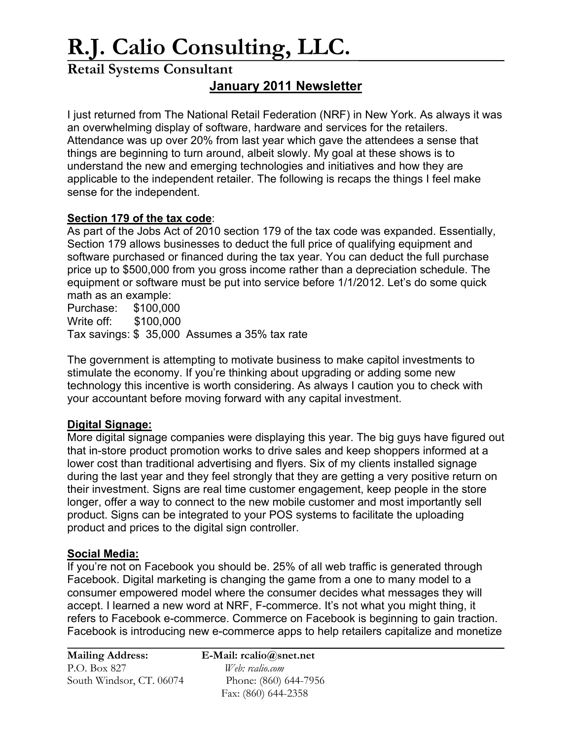# **R.J. Calio Consulting, LLC.**

## **Retail Systems Consultant**

### **January 2011 Newsletter**

I just returned from The National Retail Federation (NRF) in New York. As always it was an overwhelming display of software, hardware and services for the retailers. Attendance was up over 20% from last year which gave the attendees a sense that things are beginning to turn around, albeit slowly. My goal at these shows is to understand the new and emerging technologies and initiatives and how they are applicable to the independent retailer. The following is recaps the things I feel make sense for the independent.

#### **Section 179 of the tax code**:

As part of the Jobs Act of 2010 section 179 of the tax code was expanded. Essentially, Section 179 allows businesses to deduct the full price of qualifying equipment and software purchased or financed during the tax year. You can deduct the full purchase price up to \$500,000 from you gross income rather than a depreciation schedule. The equipment or software must be put into service before 1/1/2012. Let's do some quick math as an example:

Purchase: \$100,000 Write off: \$100,000 Tax savings: \$ 35,000 Assumes a 35% tax rate

The government is attempting to motivate business to make capitol investments to stimulate the economy. If you're thinking about upgrading or adding some new technology this incentive is worth considering. As always I caution you to check with your accountant before moving forward with any capital investment.

#### **Digital Signage:**

More digital signage companies were displaying this year. The big guys have figured out that in-store product promotion works to drive sales and keep shoppers informed at a lower cost than traditional advertising and flyers. Six of my clients installed signage during the last year and they feel strongly that they are getting a very positive return on their investment. Signs are real time customer engagement, keep people in the store longer, offer a way to connect to the new mobile customer and most importantly sell product. Signs can be integrated to your POS systems to facilitate the uploading product and prices to the digital sign controller.

#### **Social Media:**

If you're not on Facebook you should be. 25% of all web traffic is generated through Facebook. Digital marketing is changing the game from a one to many model to a consumer empowered model where the consumer decides what messages they will accept. I learned a new word at NRF, F-commerce. It's not what you might thing, it refers to Facebook e-commerce. Commerce on Facebook is beginning to gain traction. Facebook is introducing new e-commerce apps to help retailers capitalize and monetize

| <b>Mailing Address:</b>  |  |
|--------------------------|--|
| P.O. Box 827             |  |
| South Windsor, CT. 06074 |  |

**E-Mail:** rcalio@snet.net Web: rcalio.com Phone: (860) 644-7956 Fax: (860) 644-2358